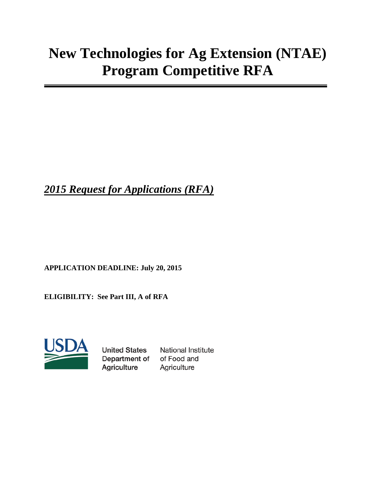# **New Technologies for Ag Extension (NTAE) Program Competitive RFA**

*2015 Request for Applications (RFA)*

**APPLICATION DEADLINE: July 20, 2015**

**ELIGIBILITY: See Part III, A of RFA**



**United States** Department of Agriculture

**National Institute** of Food and Agriculture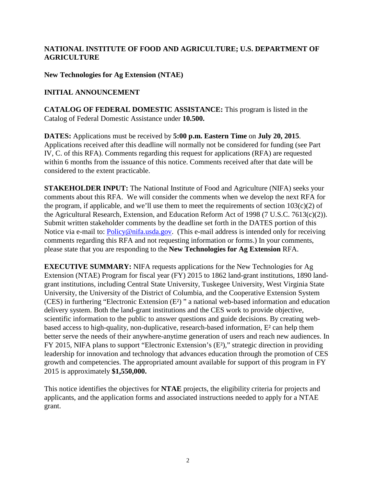## **NATIONAL INSTITUTE OF FOOD AND AGRICULTURE; U.S. DEPARTMENT OF AGRICULTURE**

**New Technologies for Ag Extension (NTAE)**

## **INITIAL ANNOUNCEMENT**

**CATALOG OF FEDERAL DOMESTIC ASSISTANCE:** This program is listed in the Catalog of Federal Domestic Assistance under **10.500.**

**DATES:** Applications must be received by **5:00 p.m. Eastern Time** on **July 20, 2015**. Applications received after this deadline will normally not be considered for funding (see Part IV, C. of this RFA). Comments regarding this request for applications (RFA) are requested within 6 months from the issuance of this notice. Comments received after that date will be considered to the extent practicable.

**STAKEHOLDER INPUT:** The National Institute of Food and Agriculture (NIFA) seeks your comments about this RFA. We will consider the comments when we develop the next RFA for the program, if applicable, and we'll use them to meet the requirements of section  $103(c)(2)$  of the Agricultural Research, Extension, and Education Reform Act of 1998 (7 U.S.C. 7613(c)(2)). Submit written stakeholder comments by the deadline set forth in the DATES portion of this Notice via e-mail to: **[Policy@nifa.usda.gov.](mailto:Policy@nifa.usda.gov)** (This e-mail address is intended only for receiving comments regarding this RFA and not requesting information or forms.) In your comments, please state that you are responding to the **New Technologies for Ag Extension** RFA.

**EXECUTIVE SUMMARY:** NIFA requests applications for the New Technologies for Ag Extension (NTAE) Program for fiscal year (FY) 2015 to 1862 land-grant institutions, 1890 landgrant institutions, including Central State University, Tuskegee University, West Virginia State University, the University of the District of Columbia, and the Cooperative Extension System (CES) in furthering "Electronic Extension [\(E²\) "](http://www.google.com/url?sa=t&rct=j&q=&esrc=s&source=web&cd=6&ved=0CEEQFjAF&url=http%3A%2F%2Fwww.pbs.org%2Fe2%2F&ei=skFnVcfKPMHbgwSgl4DgCw&usg=AFQjCNE_etrb4I71Kyx9gcpnvpGhf0fZFQ&sig2=etHdy3SofVCYjMxzKBwWeQ&bvm=bv.93990622,d.eXY) a national web-based information and education delivery system. Both the land-grant institutions and the CES work to provide objective, scientific information to the public to answer questions and guide decisions. By creating webbased access to high-quality, non-duplicative, research-based information, E² can help them better serve the needs of their anywhere-anytime generation of users and reach new audiences. In FY 2015, NIFA plans to support "Electronic Extension's (E²)," strategic direction in providing leadership for innovation and technology that advances education through the promotion of CES growth and competencies. The appropriated amount available for support of this program in FY 2015 is approximately **\$1,550,000.**

This notice identifies the objectives for **NTAE** projects, the eligibility criteria for projects and applicants, and the application forms and associated instructions needed to apply for a NTAE grant.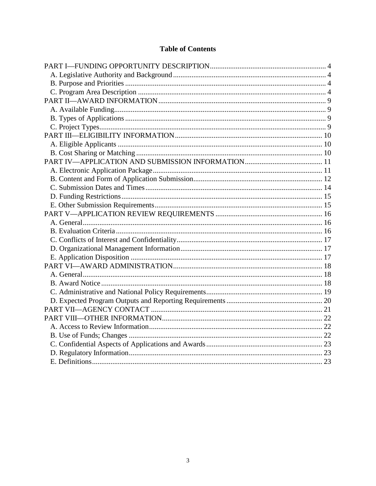# **Table of Contents**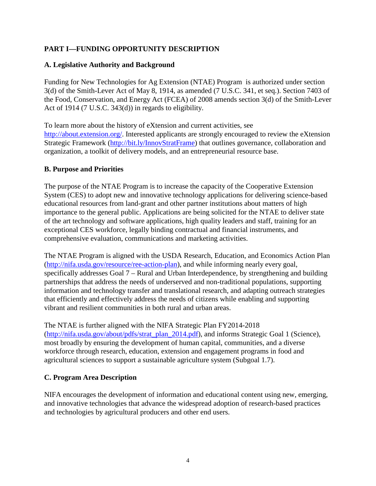## <span id="page-3-0"></span>**PART I—FUNDING OPPORTUNITY DESCRIPTION**

## <span id="page-3-1"></span>**A. Legislative Authority and Background**

Funding for New Technologies for Ag Extension (NTAE) Program is authorized under section 3(d) of the Smith-Lever Act of May 8, 1914, as amended (7 U.S.C. 341, et seq.). Section 7403 of the Food, Conservation, and Energy Act (FCEA) of 2008 amends section 3(d) of the Smith-Lever Act of 1914 (7 U.S.C. 343(d)) in regards to eligibility.

To learn more about the history of eXtension and current activities, see [http://about.extension.org/.](http://about.extension.org/) Interested applicants are strongly encouraged to review the eXtension Strategic Framework [\(http://bit.ly/InnovStratFrame\)](http://bit.ly/InnovStratFrame) that outlines governance, collaboration and organization, a toolkit of delivery models, and an entrepreneurial resource base.

#### <span id="page-3-2"></span>**B. Purpose and Priorities**

The purpose of the NTAE Program is to increase the capacity of the Cooperative Extension System (CES) to adopt new and innovative technology applications for delivering science-based educational resources from land-grant and other partner institutions about matters of high importance to the general public. Applications are being solicited for the NTAE to deliver state of the art technology and software applications, high quality leaders and staff, training for an exceptional CES workforce, legally binding contractual and financial instruments, and comprehensive evaluation, communications and marketing activities.

The NTAE Program is aligned with the USDA Research, Education, and Economics Action Plan [\(http://nifa.usda.gov/resource/ree-action-plan\)](http://nifa.usda.gov/resource/ree-action-plan), and while informing nearly every goal, specifically addresses Goal 7 – Rural and Urban Interdependence, by strengthening and building partnerships that address the needs of underserved and non-traditional populations, supporting information and technology transfer and translational research, and adapting outreach strategies that efficiently and effectively address the needs of citizens while enabling and supporting vibrant and resilient communities in both rural and urban areas.

The NTAE is further aligned with the NIFA Strategic Plan FY2014-2018 [\(http://nifa.usda.gov/about/pdfs/strat\\_plan\\_2014.pdf\)](http://nifa.usda.gov/about/pdfs/strat_plan_2014.pdf), and informs Strategic Goal 1 (Science), most broadly by ensuring the development of human capital, communities, and a diverse workforce through research, education, extension and engagement programs in food and agricultural sciences to support a sustainable agriculture system (Subgoal 1.7).

## <span id="page-3-3"></span>**C. Program Area Description**

NIFA encourages the development of information and educational content using new, emerging, and innovative technologies that advance the widespread adoption of research-based practices and technologies by agricultural producers and other end users.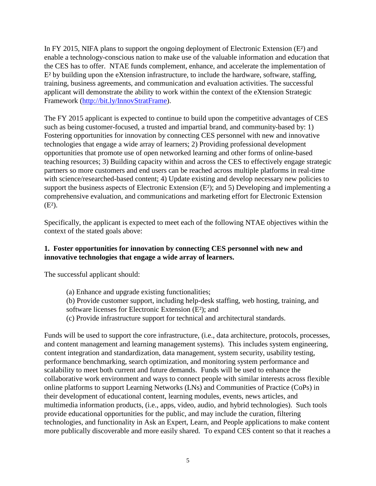In FY 2015, NIFA plans to support the ongoing deployment of Electronic Extension (E<sup>2</sup>) and enable a technology-conscious nation to make use of the valuable information and education that the CES has to offer. NTAE funds complement, enhance, and accelerate the implementation of E² by building upon the eXtension infrastructure, to include the hardware, software, staffing, training, business agreements, and communication and evaluation activities. The successful applicant will demonstrate the ability to work within the context of the eXtension Strategic Framework [\(http://bit.ly/InnovStratFrame\)](http://bit.ly/InnovStratFrame).

The FY 2015 applicant is expected to continue to build upon the competitive advantages of CES such as being customer-focused, a trusted and impartial brand, and community-based by: 1) Fostering opportunities for innovation by connecting CES personnel with new and innovative technologies that engage a wide array of learners; 2) Providing professional development opportunities that promote use of open networked learning and other forms of online-based teaching resources; 3) Building capacity within and across the CES to effectively engage strategic partners so more customers and end users can be reached across multiple platforms in real-time with science/researched-based content; 4) Update existing and develop necessary new policies to support the business aspects of Electronic Extension (E<sup>2</sup>); and 5) Developing and implementing a comprehensive evaluation, and communications and marketing effort for Electronic Extension  $(E^2)$ .

Specifically, the applicant is expected to meet each of the following NTAE objectives within the context of the stated goals above:

## **1. Foster opportunities for innovation by connecting CES personnel with new and innovative technologies that engage a wide array of learners.**

The successful applicant should:

- (a) Enhance and upgrade existing functionalities;
- (b) Provide customer support, including help-desk staffing, web hosting, training, and software licenses for Electronic Extension (E²); and
- (c) Provide infrastructure support for technical and architectural standards.

Funds will be used to support the core infrastructure, (i.e., data architecture, protocols, processes, and content management and learning management systems). This includes system engineering, content integration and standardization, data management, system security, usability testing, performance benchmarking, search optimization, and monitoring system performance and scalability to meet both current and future demands. Funds will be used to enhance the collaborative work environment and ways to connect people with similar interests across flexible online platforms to support Learning Networks (LNs) and Communities of Practice (CoPs) in their development of educational content, learning modules, events, news articles, and multimedia information products, (i.e., apps, video, audio, and hybrid technologies). Such tools provide educational opportunities for the public, and may include the curation, filtering technologies, and functionality in Ask an Expert, Learn, and People applications to make content more publically discoverable and more easily shared. To expand CES content so that it reaches a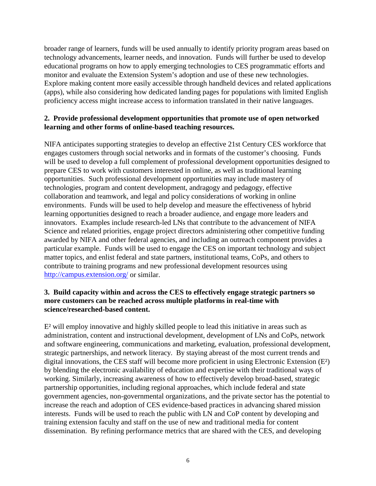broader range of learners, funds will be used annually to identify priority program areas based on technology advancements, learner needs, and innovation. Funds will further be used to develop educational programs on how to apply emerging technologies to CES programmatic efforts and monitor and evaluate the Extension System's adoption and use of these new technologies. Explore making content more easily accessible through handheld devices and related applications (apps), while also considering how dedicated landing pages for populations with limited English proficiency access might increase access to information translated in their native languages.

## **2. Provide professional development opportunities that promote use of open networked learning and other forms of online-based teaching resources.**

NIFA anticipates supporting strategies to develop an effective 21st Century CES workforce that engages customers through social networks and in formats of the customer's choosing. Funds will be used to develop a full complement of professional development opportunities designed to prepare CES to work with customers interested in online, as well as traditional learning opportunities. Such professional development opportunities may include mastery of technologies, program and content development, andragogy and pedagogy, effective collaboration and teamwork, and legal and policy considerations of working in online environments. Funds will be used to help develop and measure the effectiveness of hybrid learning opportunities designed to reach a broader audience, and engage more leaders and innovators. Examples include research-led LNs that contribute to the advancement of NIFA Science and related priorities, engage project directors administering other competitive funding awarded by NIFA and other federal agencies, and including an outreach component provides a particular example. Funds will be used to engage the CES on important technology and subject matter topics, and enlist federal and state partners, institutional teams, CoPs, and others to contribute to training programs and new professional development resources using <http://campus.extension.org/> or similar.

## **3. Build capacity within and across the CES to effectively engage strategic partners so more customers can be reached across multiple platforms in real-time with science/researched-based content.**

 $E<sup>2</sup>$  will employ innovative and highly skilled people to lead this initiative in areas such as administration, content and instructional development, development of LNs and CoPs, network and software engineering, communications and marketing, evaluation, professional development, strategic partnerships, and network literacy. By staying abreast of the most current trends and digital innovations, the CES staff will become more proficient in using Electronic Extension (E²) by blending the electronic availability of education and expertise with their traditional ways of working. Similarly, increasing awareness of how to effectively develop broad-based, strategic partnership opportunities, including regional approaches, which include federal and state government agencies, non-governmental organizations, and the private sector has the potential to increase the reach and adoption of CES evidence-based practices in advancing shared mission interests. Funds will be used to reach the public with LN and CoP content by developing and training extension faculty and staff on the use of new and traditional media for content dissemination. By refining performance metrics that are shared with the CES, and developing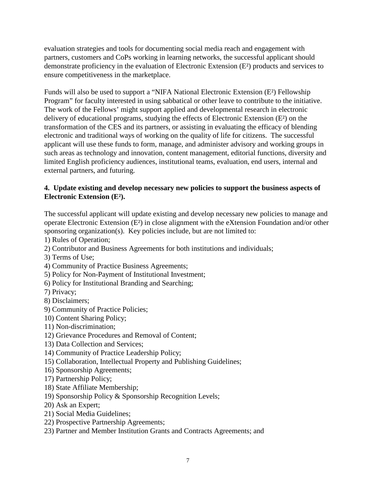evaluation strategies and tools for documenting social media reach and engagement with partners, customers and CoPs working in learning networks, the successful applicant should demonstrate proficiency in the evaluation of Electronic Extension (E²) products and services to ensure competitiveness in the marketplace.

Funds will also be used to support a "NIFA National Electronic Extension (E²) Fellowship Program" for faculty interested in using sabbatical or other leave to contribute to the initiative. The work of the Fellows' might support applied and developmental research in electronic delivery of educational programs, studying the effects of Electronic Extension (E²) on the transformation of the CES and its partners, or assisting in evaluating the efficacy of blending electronic and traditional ways of working on the quality of life for citizens. The successful applicant will use these funds to form, manage, and administer advisory and working groups in such areas as technology and innovation, content management, editorial functions, diversity and limited English proficiency audiences, institutional teams, evaluation, end users, internal and external partners, and futuring.

## **4. Update existing and develop necessary new policies to support the business aspects of Electronic Extension (E²).**

The successful applicant will update existing and develop necessary new policies to manage and operate Electronic Extension (E²) in close alignment with the eXtension Foundation and/or other sponsoring organization(s). Key policies include, but are not limited to:

1) Rules of Operation;

- 2) Contributor and Business Agreements for both institutions and individuals;
- 3) Terms of Use;
- 4) Community of Practice Business Agreements;
- 5) Policy for Non-Payment of Institutional Investment;
- 6) Policy for Institutional Branding and Searching;
- 7) Privacy;
- 8) Disclaimers;
- 9) Community of Practice Policies;
- 10) Content Sharing Policy;
- 11) Non-discrimination;
- 12) Grievance Procedures and Removal of Content;
- 13) Data Collection and Services;
- 14) Community of Practice Leadership Policy;
- 15) Collaboration, Intellectual Property and Publishing Guidelines;
- 16) Sponsorship Agreements;
- 17) Partnership Policy;
- 18) State Affiliate Membership;
- 19) Sponsorship Policy & Sponsorship Recognition Levels;
- 20) Ask an Expert;
- 21) Social Media Guidelines;
- 22) Prospective Partnership Agreements;
- 23) Partner and Member Institution Grants and Contracts Agreements; and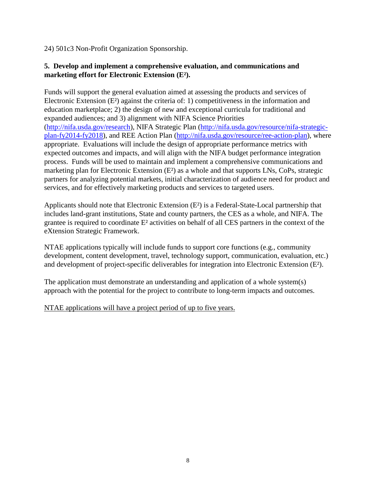24) 501c3 Non-Profit Organization Sponsorship.

## **5. Develop and implement a comprehensive evaluation, and communications and marketing effort for Electronic Extension (E²).**

Funds will support the general evaluation aimed at assessing the products and services of Electronic Extension (E²) against the criteria of: 1) competitiveness in the information and education marketplace; 2) the design of new and exceptional curricula for traditional and expanded audiences; and 3) alignment with NIFA Science Priorities [\(http://nifa.usda.gov/research\)](http://nifa.usda.gov/research), NIFA Strategic Plan [\(http://nifa.usda.gov/resource/nifa-strategic](http://nifa.usda.gov/resource/nifa-strategic-plan-fy2014-fy2018)[plan-fy2014-fy2018\)](http://nifa.usda.gov/resource/nifa-strategic-plan-fy2014-fy2018), and REE Action Plan [\(http://nifa.usda.gov/resource/ree-action-plan\)](http://nifa.usda.gov/resource/ree-action-plan), where appropriate. Evaluations will include the design of appropriate performance metrics with expected outcomes and impacts, and will align with the NIFA budget performance integration process. Funds will be used to maintain and implement a comprehensive communications and marketing plan for Electronic Extension (E²) as a whole and that supports LNs, CoPs, strategic partners for analyzing potential markets, initial characterization of audience need for product and services, and for effectively marketing products and services to targeted users.

Applicants should note that Electronic Extension (E²) is a Federal-State-Local partnership that includes land-grant institutions, State and county partners, the CES as a whole, and NIFA. The grantee is required to coordinate E² activities on behalf of all CES partners in the context of the eXtension Strategic Framework.

NTAE applications typically will include funds to support core functions (e.g., community development, content development, travel, technology support, communication, evaluation, etc.) and development of project-specific deliverables for integration into Electronic Extension (E²).

The application must demonstrate an understanding and application of a whole system(s) approach with the potential for the project to contribute to long-term impacts and outcomes.

NTAE applications will have a project period of up to five years.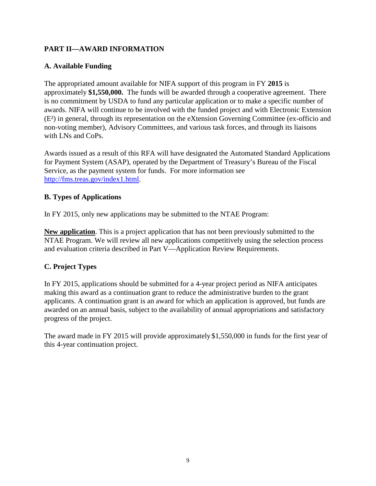# <span id="page-8-0"></span>**PART II—AWARD INFORMATION**

# <span id="page-8-1"></span>**A. Available Funding**

The appropriated amount available for NIFA support of this program in FY **2015** is approximately **\$1,550,000.** The funds will be awarded through a cooperative agreement. There is no commitment by USDA to fund any particular application or to make a specific number of awards. NIFA will continue to be involved with the funded project and with Electronic Extension (E²) in general, through its representation on the eXtension Governing Committee (ex-officio and non-voting member), Advisory Committees, and various task forces, and through its liaisons with LNs and CoPs.

Awards issued as a result of this RFA will have designated the Automated Standard Applications for Payment System (ASAP), operated by the Department of Treasury's Bureau of the Fiscal Service, as the payment system for funds. For more information see [http://fms.treas.gov/index1.html.](http://fms.treas.gov/index1.html)

# <span id="page-8-2"></span>**B. Types of Applications**

In FY 2015, only new applications may be submitted to the NTAE Program:

**New application**. This is a project application that has not been previously submitted to the NTAE Program. We will review all new applications competitively using the selection process and evaluation criteria described in Part V—Application Review Requirements.

# <span id="page-8-3"></span>**C. Project Types**

In FY 2015, applications should be submitted for a 4-year project period as NIFA anticipates making this award as a continuation grant to reduce the administrative burden to the grant applicants. A continuation grant is an award for which an application is approved, but funds are awarded on an annual basis, subject to the availability of annual appropriations and satisfactory progress of the project.

The award made in FY 2015 will provide approximately \$1,550,000 in funds for the first year of this 4-year continuation project.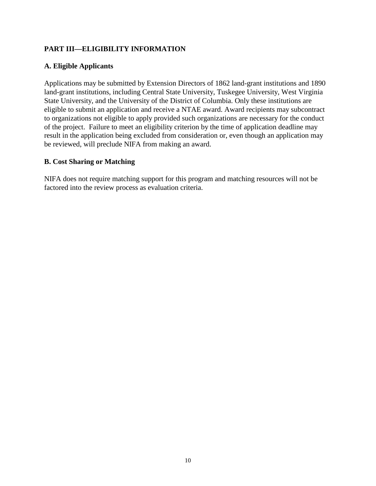# <span id="page-9-0"></span>**PART III—ELIGIBILITY INFORMATION**

#### <span id="page-9-1"></span>**A. Eligible Applicants**

Applications may be submitted by Extension Directors of 1862 land-grant institutions and 1890 land-grant institutions, including Central State University, Tuskegee University, West Virginia State University, and the University of the District of Columbia. Only these institutions are eligible to submit an application and receive a NTAE award. Award recipients may subcontract to organizations not eligible to apply provided such organizations are necessary for the conduct of the project. Failure to meet an eligibility criterion by the time of application deadline may result in the application being excluded from consideration or, even though an application may be reviewed, will preclude NIFA from making an award.

#### <span id="page-9-2"></span>**B. Cost Sharing or Matching**

NIFA does not require matching support for this program and matching resources will not be factored into the review process as evaluation criteria.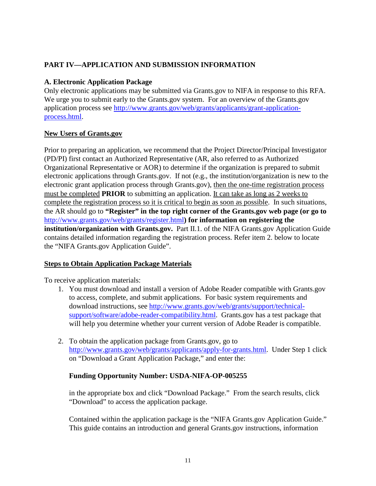# <span id="page-10-0"></span>**PART IV—APPLICATION AND SUBMISSION INFORMATION**

# <span id="page-10-1"></span>**A. Electronic Application Package**

Only electronic applications may be submitted via Grants.gov to NIFA in response to this RFA. We urge you to submit early to the Grants.gov system. For an overview of the Grants.gov application process see [http://www.grants.gov/web/grants/applicants/grant-application](http://www.grants.gov/web/grants/applicants/grant-application-process.html)[process.html.](http://www.grants.gov/web/grants/applicants/grant-application-process.html)

## **New Users of Grants.gov**

Prior to preparing an application, we recommend that the Project Director/Principal Investigator (PD/PI) first contact an Authorized Representative (AR, also referred to as Authorized Organizational Representative or AOR) to determine if the organization is prepared to submit electronic applications through Grants.gov. If not (e.g., the institution/organization is new to the electronic grant application process through Grants.gov), then the one-time registration process must be completed **PRIOR** to submitting an application. It can take as long as 2 weeks to complete the registration process so it is critical to begin as soon as possible. In such situations, the AR should go to **"Register" in the top right corner of the Grants.gov web page (or go to**  <http://www.grants.gov/web/grants/register.html>**) for information on registering the institution/organization with Grants.gov.** Part II.1. of the NIFA Grants.gov Application Guide contains detailed information regarding the registration process. Refer item 2. below to locate the "NIFA Grants.gov Application Guide".

# **Steps to Obtain Application Package Materials**

To receive application materials:

- 1. You must download and install a version of Adobe Reader compatible with Grants.gov to access, complete, and submit applications. For basic system requirements and download instructions, see [http://www.grants.gov/web/grants/support/technical](http://www.grants.gov/web/grants/support/technical-support/software/adobe-reader-compatibility.html)[support/software/adobe-reader-compatibility.html.](http://www.grants.gov/web/grants/support/technical-support/software/adobe-reader-compatibility.html) Grants.gov has a test package that will help you determine whether your current version of Adobe Reader is compatible.
- 2. To obtain the application package from Grants.gov, go to [http://www.grants.gov/web/grants/applicants/apply-for-grants.html.](http://www.grants.gov/web/grants/applicants/apply-for-grants.html) Under Step 1 click on "Download a Grant Application Package," and enter the:

# **Funding Opportunity Number: USDA-NIFA-OP-005255**

in the appropriate box and click "Download Package." From the search results, click "Download" to access the application package.

Contained within the application package is the "NIFA Grants.gov Application Guide." This guide contains an introduction and general Grants.gov instructions, information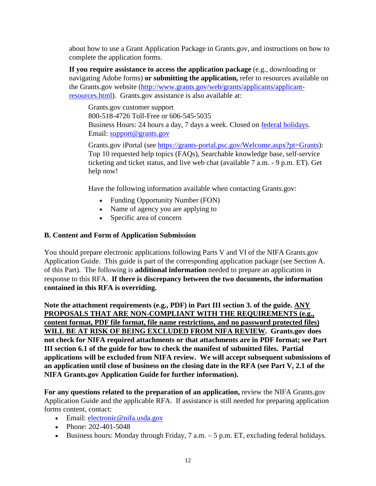about how to use a Grant Application Package in Grants.gov, and instructions on how to complete the application forms.

**If you require assistance to access the application package** (e.g., downloading or navigating Adobe forms) **or submitting the application,** refer to resources available on the Grants.gov website [\(http://www.grants.gov/web/grants/applicants/applicant](http://www.grants.gov/web/grants/applicants/applicant-resources.html)[resources.html\)](http://www.grants.gov/web/grants/applicants/applicant-resources.html). Grants.gov assistance is also available at:

Grants.gov customer support 800-518-4726 Toll-Free or 606-545-5035 Business Hours: 24 hours a day, 7 days a week. Closed on [federal holidays.](http://www.opm.gov/policy-data-oversight/snow-dismissal-procedures/federal-holidays/) Email: [support@grants.gov](mailto:support@grants.gov)

Grants.gov iPortal (see [https://grants-portal.psc.gov/Welcome.aspx?pt=Grants\)](https://grants-portal.psc.gov/Welcome.aspx?pt=Grants): Top 10 requested help topics (FAQs), Searchable knowledge base, self-service ticketing and ticket status, and live web chat (available 7 a.m. - 9 p.m. ET). [Get](https://grants-portal.psc.gov/Welcome.aspx?pt=Grants)  [help now!](https://grants-portal.psc.gov/Welcome.aspx?pt=Grants)

Have the following information available when contacting Grants.gov:

- Funding Opportunity Number (FON)
- Name of agency you are applying to
- Specific area of concern

## <span id="page-11-0"></span>**B. Content and Form of Application Submission**

You should prepare electronic applications following Parts V and VI of the NIFA Grants.gov Application Guide. This guide is part of the corresponding application package (see Section A. of this Part). The following is **additional information** needed to prepare an application in response to this RFA. **If there is discrepancy between the two documents, the information contained in this RFA is overriding.**

**Note the attachment requirements (e.g., PDF) in Part III section 3. of the guide. ANY PROPOSALS THAT ARE NON-COMPLIANT WITH THE REQUIREMENTS (e.g., content format, PDF file format, file name restrictions, and no password protected files) WILL BE AT RISK OF BEING EXCLUDED FROM NIFA REVIEW. Grants.gov does not check for NIFA required attachments or that attachments are in PDF format; see Part III section 6.1 of the guide for how to check the manifest of submitted files. Partial applications will be excluded from NIFA review. We will accept subsequent submissions of an application until close of business on the closing date in the RFA (see Part V, 2.1 of the NIFA Grants.gov Application Guide for further information).**

**For any questions related to the preparation of an application,** review the NIFA Grants.gov Application Guide and the applicable RFA. If assistance is still needed for preparing application forms content, contact:

- Email: electronic@nifa.usda.gov
- Phone:  $202 401 5048$
- Business hours: Monday through Friday, 7 a.m. 5 p.m. ET, excluding federal holidays.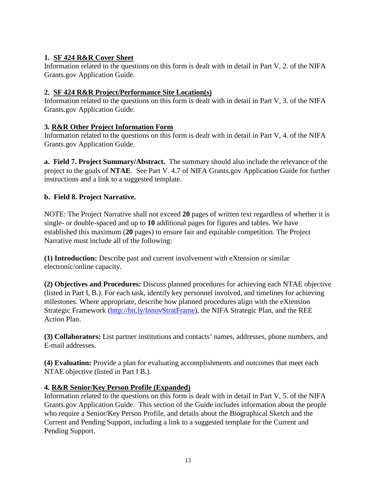# **1. SF 424 R&R Cover Sheet**

Information related to the questions on this form is dealt with in detail in Part V, 2. of the NIFA Grants.gov Application Guide.

# **2. SF 424 R&R Project/Performance Site Location(s)**

Information related to the questions on this form is dealt with in detail in Part V, 3. of the NIFA Grants.gov Application Guide.

# **3. R&R Other Project Information Form**

Information related to the questions on this form is dealt with in detail in Part V, 4. of the NIFA Grants.gov Application Guide.

**a. Field 7. Project Summary/Abstract.** The summary should also include the relevance of the project to the goals of **NTAE**. See Part V. 4.7 of NIFA Grants.gov Application Guide for further instructions and a link to a suggested template.

## **b. Field 8. Project Narrative.**

NOTE: The Project Narrative shall not exceed **20** pages of written text regardless of whether it is single- or double-spaced and up to **10** additional pages for figures and tables. We have established this maximum (**20** pages) to ensure fair and equitable competition. The Project Narrative must include all of the following:

**(1) Introduction:** Describe past and current involvement with eXtension or similar electronic/online capacity.

**(2) Objectives and Procedures:** Discuss planned procedures for achieving each NTAE objective (listed in Part I, B.). For each task, identify key personnel involved, and timelines for achieving milestones. Where appropriate, describe how planned procedures align with the eXtension Strategic Framework [\(http://bit.ly/InnovStratFrame\)](http://bit.ly/InnovStratFrame), the NIFA Strategic Plan, and the REE Action Plan.

**(3) Collaborators:** List partner institutions and contacts' names, addresses, phone numbers, and E-mail addresses.

**(4) Evaluation:** Provide a plan for evaluating accomplishments and outcomes that meet each NTAE objective (listed in Part I B.).

# **4. R&R Senior/Key Person Profile (Expanded)**

Information related to the questions on this form is dealt with in detail in Part V, 5. of the NIFA Grants.gov Application Guide. This section of the Guide includes information about the people who require a Senior/Key Person Profile, and details about the Biographical Sketch and the Current and Pending Support, including a link to a suggested template for the Current and Pending Support.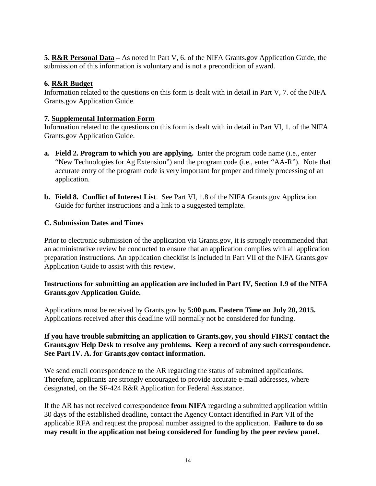**5. R&R Personal Data –** As noted in Part V, 6. of the NIFA Grants.gov Application Guide, the submission of this information is voluntary and is not a precondition of award.

# **6. R&R Budget**

Information related to the questions on this form is dealt with in detail in Part V, 7. of the NIFA Grants.gov Application Guide.

## **7. Supplemental Information Form**

Information related to the questions on this form is dealt with in detail in Part VI, 1. of the NIFA Grants.gov Application Guide.

- **a. Field 2. Program to which you are applying.** Enter the program code name (i.e., enter "New Technologies for Ag Extension") and the program code (i.e., enter "AA-R"). Note that accurate entry of the program code is very important for proper and timely processing of an application.
- **b. Field 8. Conflict of Interest List**. See Part VI, 1.8 of the NIFA Grants.gov Application Guide for further instructions and a link to a suggested template.

## <span id="page-13-0"></span>**C. Submission Dates and Times**

Prior to electronic submission of the application via Grants.gov, it is strongly recommended that an administrative review be conducted to ensure that an application complies with all application preparation instructions. An application checklist is included in Part VII of the NIFA Grants.gov Application Guide to assist with this review.

## **Instructions for submitting an application are included in Part IV, Section 1.9 of the NIFA Grants.gov Application Guide.**

Applications must be received by Grants.gov by **5:00 p.m. Eastern Time on July 20, 2015.**  Applications received after this deadline will normally not be considered for funding.

## **If you have trouble submitting an application to Grants.gov, you should FIRST contact the Grants.gov Help Desk to resolve any problems. Keep a record of any such correspondence. See Part IV. A. for Grants.gov contact information.**

We send email correspondence to the AR regarding the status of submitted applications. Therefore, applicants are strongly encouraged to provide accurate e-mail addresses, where designated, on the SF-424 R&R Application for Federal Assistance.

If the AR has not received correspondence **from NIFA** regarding a submitted application within 30 days of the established deadline, contact the Agency Contact identified in Part VII of the applicable RFA and request the proposal number assigned to the application. **Failure to do so may result in the application not being considered for funding by the peer review panel.**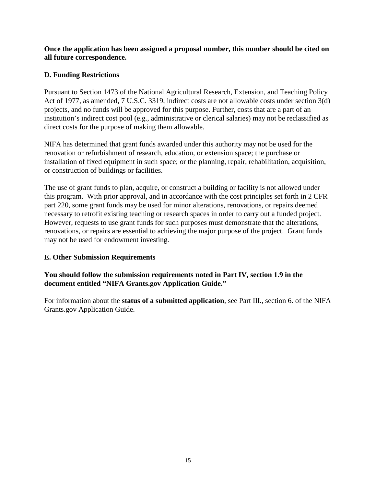## **Once the application has been assigned a proposal number, this number should be cited on all future correspondence.**

## <span id="page-14-0"></span>**D. Funding Restrictions**

Pursuant to Section 1473 of the National Agricultural Research, Extension, and Teaching Policy Act of 1977, as amended, 7 U.S.C. 3319, indirect costs are not allowable costs under section 3(d) projects, and no funds will be approved for this purpose. Further, costs that are a part of an institution's indirect cost pool (e.g., administrative or clerical salaries) may not be reclassified as direct costs for the purpose of making them allowable.

NIFA has determined that grant funds awarded under this authority may not be used for the renovation or refurbishment of research, education, or extension space; the purchase or installation of fixed equipment in such space; or the planning, repair, rehabilitation, acquisition, or construction of buildings or facilities.

The use of grant funds to plan, acquire, or construct a building or facility is not allowed under this program. With prior approval, and in accordance with the cost principles set forth in 2 CFR part 220, some grant funds may be used for minor alterations, renovations, or repairs deemed necessary to retrofit existing teaching or research spaces in order to carry out a funded project. However, requests to use grant funds for such purposes must demonstrate that the alterations, renovations, or repairs are essential to achieving the major purpose of the project. Grant funds may not be used for endowment investing.

## <span id="page-14-1"></span>**E. Other Submission Requirements**

## **You should follow the submission requirements noted in Part IV, section 1.9 in the document entitled "NIFA Grants.gov Application Guide."**

For information about the **status of a submitted application**, see Part III., section 6. of the NIFA Grants.gov Application Guide.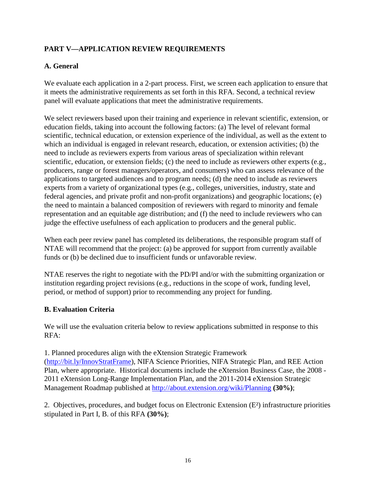# <span id="page-15-0"></span>**PART V—APPLICATION REVIEW REQUIREMENTS**

# <span id="page-15-1"></span>**A. General**

We evaluate each application in a 2-part process. First, we screen each application to ensure that it meets the administrative requirements as set forth in this RFA. Second, a technical review panel will evaluate applications that meet the administrative requirements.

We select reviewers based upon their training and experience in relevant scientific, extension, or education fields, taking into account the following factors: (a) The level of relevant formal scientific, technical education, or extension experience of the individual, as well as the extent to which an individual is engaged in relevant research, education, or extension activities; (b) the need to include as reviewers experts from various areas of specialization within relevant scientific, education, or extension fields; (c) the need to include as reviewers other experts (e.g., producers, range or forest managers/operators, and consumers) who can assess relevance of the applications to targeted audiences and to program needs; (d) the need to include as reviewers experts from a variety of organizational types (e.g., colleges, universities, industry, state and federal agencies, and private profit and non-profit organizations) and geographic locations; (e) the need to maintain a balanced composition of reviewers with regard to minority and female representation and an equitable age distribution; and (f) the need to include reviewers who can judge the effective usefulness of each application to producers and the general public.

When each peer review panel has completed its deliberations, the responsible program staff of NTAE will recommend that the project: (a) be approved for support from currently available funds or (b) be declined due to insufficient funds or unfavorable review.

NTAE reserves the right to negotiate with the PD/PI and/or with the submitting organization or institution regarding project revisions (e.g., reductions in the scope of work, funding level, period, or method of support) prior to recommending any project for funding.

## <span id="page-15-2"></span>**B. Evaluation Criteria**

We will use the evaluation criteria below to review applications submitted in response to this RFA:

1. Planned procedures align with the eXtension Strategic Framework [\(http://bit.ly/InnovStratFrame\)](http://bit.ly/InnovStratFrame), NIFA Science Priorities, NIFA Strategic Plan, and REE Action Plan, where appropriate. Historical documents include the eXtension Business Case, the 2008 - 2011 eXtension Long-Range Implementation Plan, and the 2011-2014 eXtension Strategic Management Roadmap published at<http://about.extension.org/wiki/Planning> **(30%)**;

2. Objectives, procedures, and budget focus on Electronic Extension (E²) infrastructure priorities stipulated in Part I, B. of this RFA **(30%)**;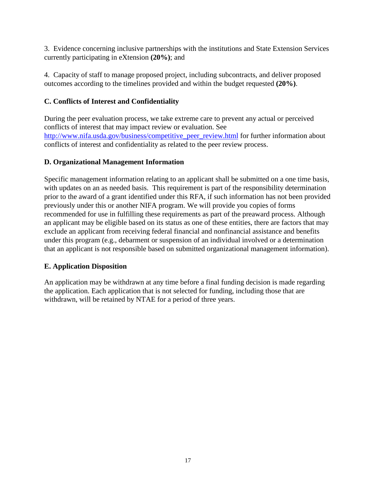3. Evidence concerning inclusive partnerships with the institutions and State Extension Services currently participating in eXtension **(20%)**; and

4. Capacity of staff to manage proposed project, including subcontracts, and deliver proposed outcomes according to the timelines provided and within the budget requested **(20%)**.

# <span id="page-16-0"></span>**C. Conflicts of Interest and Confidentiality**

During the peer evaluation process, we take extreme care to prevent any actual or perceived conflicts of interest that may impact review or evaluation. See http://www.nifa.usda.gov/business/competitive peer review.html for further information about conflicts of interest and confidentiality as related to the peer review process.

# <span id="page-16-1"></span>**D. Organizational Management Information**

Specific management information relating to an applicant shall be submitted on a one time basis, with updates on an as needed basis. This requirement is part of the responsibility determination prior to the award of a grant identified under this RFA, if such information has not been provided previously under this or another NIFA program. We will provide you copies of forms recommended for use in fulfilling these requirements as part of the preaward process. Although an applicant may be eligible based on its status as one of these entities, there are factors that may exclude an applicant from receiving federal financial and nonfinancial assistance and benefits under this program (e.g., debarment or suspension of an individual involved or a determination that an applicant is not responsible based on submitted organizational management information).

# <span id="page-16-2"></span>**E. Application Disposition**

An application may be withdrawn at any time before a final funding decision is made regarding the application. Each application that is not selected for funding, including those that are withdrawn, will be retained by NTAE for a period of three years.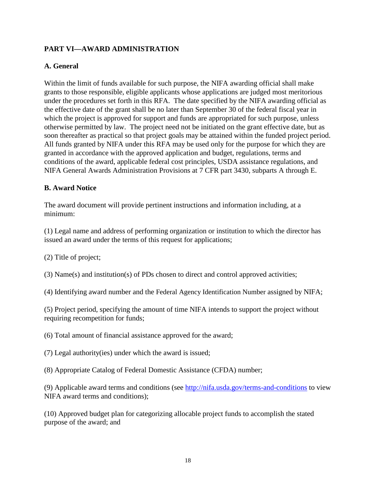# <span id="page-17-0"></span>**PART VI—AWARD ADMINISTRATION**

## <span id="page-17-1"></span>**A. General**

Within the limit of funds available for such purpose, the NIFA awarding official shall make grants to those responsible, eligible applicants whose applications are judged most meritorious under the procedures set forth in this RFA. The date specified by the NIFA awarding official as the effective date of the grant shall be no later than September 30 of the federal fiscal year in which the project is approved for support and funds are appropriated for such purpose, unless otherwise permitted by law. The project need not be initiated on the grant effective date, but as soon thereafter as practical so that project goals may be attained within the funded project period. All funds granted by NIFA under this RFA may be used only for the purpose for which they are granted in accordance with the approved application and budget, regulations, terms and conditions of the award, applicable federal cost principles, USDA assistance regulations, and NIFA General Awards Administration Provisions at 7 CFR part 3430, subparts A through E.

#### <span id="page-17-2"></span>**B. Award Notice**

The award document will provide pertinent instructions and information including, at a minimum:

(1) Legal name and address of performing organization or institution to which the director has issued an award under the terms of this request for applications;

(2) Title of project;

(3) Name(s) and institution(s) of PDs chosen to direct and control approved activities;

(4) Identifying award number and the Federal Agency Identification Number assigned by NIFA;

(5) Project period, specifying the amount of time NIFA intends to support the project without requiring recompetition for funds;

(6) Total amount of financial assistance approved for the award;

(7) Legal authority(ies) under which the award is issued;

(8) Appropriate Catalog of Federal Domestic Assistance (CFDA) number;

(9) Applicable award terms and conditions (see<http://nifa.usda.gov/terms-and-conditions> to view NIFA award terms and conditions);

(10) Approved budget plan for categorizing allocable project funds to accomplish the stated purpose of the award; and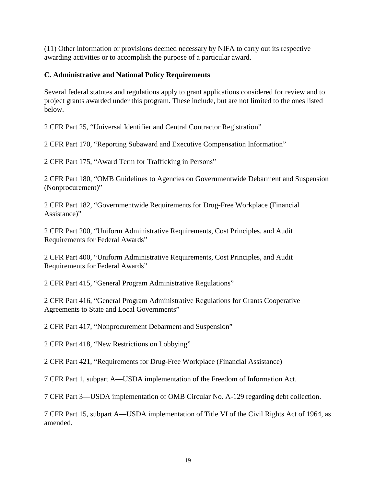(11) Other information or provisions deemed necessary by NIFA to carry out its respective awarding activities or to accomplish the purpose of a particular award.

#### <span id="page-18-0"></span>**C. Administrative and National Policy Requirements**

Several federal statutes and regulations apply to grant applications considered for review and to project grants awarded under this program. These include, but are not limited to the ones listed below.

2 CFR Part 25, "Universal Identifier and Central Contractor Registration"

2 CFR Part 170, "Reporting Subaward and Executive Compensation Information"

2 CFR Part 175, "Award Term for Trafficking in Persons"

2 CFR Part 180, "OMB Guidelines to Agencies on Governmentwide Debarment and Suspension (Nonprocurement)"

2 CFR Part 182, "Governmentwide Requirements for Drug-Free Workplace (Financial Assistance)"

2 CFR Part 200, "Uniform Administrative Requirements, Cost Principles, and Audit Requirements for Federal Awards"

2 CFR Part 400, "Uniform Administrative Requirements, Cost Principles, and Audit Requirements for Federal Awards"

2 CFR Part 415, "General Program Administrative Regulations"

2 CFR Part 416, "General Program Administrative Regulations for Grants Cooperative Agreements to State and Local Governments"

2 CFR Part 417, "Nonprocurement Debarment and Suspension"

2 CFR Part 418, "New Restrictions on Lobbying"

2 CFR Part 421, "Requirements for Drug-Free Workplace (Financial Assistance)

7 CFR Part 1, subpart A**—**USDA implementation of the Freedom of Information Act.

7 CFR Part 3**—**USDA implementation of OMB Circular No. A-129 regarding debt collection.

7 CFR Part 15, subpart A**—**USDA implementation of Title VI of the Civil Rights Act of 1964, as amended.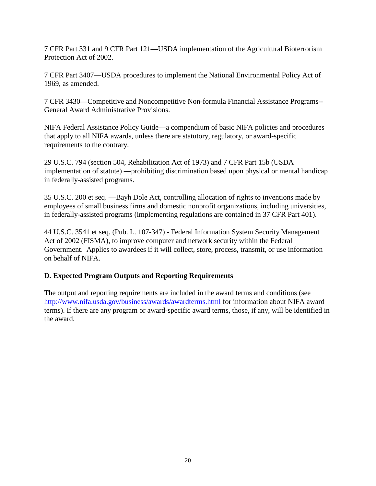7 CFR Part 331 and 9 CFR Part 121**—**USDA implementation of the Agricultural Bioterrorism Protection Act of 2002.

7 CFR Part 3407**—**USDA procedures to implement the National Environmental Policy Act of 1969, as amended.

7 CFR 3430**—**Competitive and Noncompetitive Non-formula Financial Assistance Programs-- General Award Administrative Provisions.

NIFA Federal Assistance Policy Guide**—**a compendium of basic NIFA policies and procedures that apply to all NIFA awards, unless there are statutory, regulatory, or award-specific requirements to the contrary.

29 U.S.C. 794 (section 504, Rehabilitation Act of 1973) and 7 CFR Part 15b (USDA implementation of statute) **—**prohibiting discrimination based upon physical or mental handicap in federally-assisted programs.

35 U.S.C. 200 et seq. **—**Bayh Dole Act, controlling allocation of rights to inventions made by employees of small business firms and domestic nonprofit organizations, including universities, in federally-assisted programs (implementing regulations are contained in 37 CFR Part 401).

44 U.S.C. 3541 et seq. (Pub. L. 107-347) - Federal Information System Security Management Act of 2002 (FISMA), to improve computer and network security within the Federal Government. Applies to awardees if it will collect, store, process, transmit, or use information on behalf of NIFA.

# <span id="page-19-0"></span>**D. Expected Program Outputs and Reporting Requirements**

The output and reporting requirements are included in the award terms and conditions (see <http://www.nifa.usda.gov/business/awards/awardterms.html> for information about NIFA award terms). If there are any program or award-specific award terms, those, if any, will be identified in the award.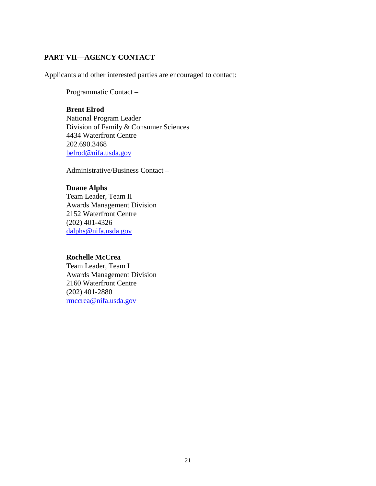## <span id="page-20-0"></span>**PART VII—AGENCY CONTACT**

Applicants and other interested parties are encouraged to contact:

Programmatic Contact –

## **Brent Elrod**

National Program Leader Division of Family & Consumer Sciences 4434 Waterfront Centre 202.690.3468 [belrod@nifa.usda.gov](mailto:belrod@nifa.usda.gov)

Administrative/Business Contact –

#### **Duane Alphs**

Team Leader, Team II Awards Management Division 2152 Waterfront Centre (202) 401-4326 [dalphs@nifa.usda.gov](mailto:dalphs@nifa.usda.gov)

#### **Rochelle McCrea**

Team Leader, Team I Awards Management Division 2160 Waterfront Centre (202) 401-2880 [rmccrea@nifa.usda.gov](mailto:rmccrea@nifa.usda.gov)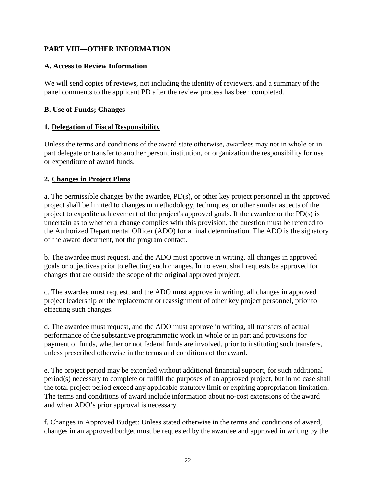# <span id="page-21-0"></span>**PART VIII—OTHER INFORMATION**

## <span id="page-21-1"></span>**A. Access to Review Information**

We will send copies of reviews, not including the identity of reviewers, and a summary of the panel comments to the applicant PD after the review process has been completed.

#### <span id="page-21-2"></span>**B. Use of Funds; Changes**

## **1. Delegation of Fiscal Responsibility**

Unless the terms and conditions of the award state otherwise, awardees may not in whole or in part delegate or transfer to another person, institution, or organization the responsibility for use or expenditure of award funds.

## **2. Changes in Project Plans**

a. The permissible changes by the awardee, PD(s), or other key project personnel in the approved project shall be limited to changes in methodology, techniques, or other similar aspects of the project to expedite achievement of the project's approved goals. If the awardee or the PD(s) is uncertain as to whether a change complies with this provision, the question must be referred to the Authorized Departmental Officer (ADO) for a final determination. The ADO is the signatory of the award document, not the program contact.

b. The awardee must request, and the ADO must approve in writing, all changes in approved goals or objectives prior to effecting such changes. In no event shall requests be approved for changes that are outside the scope of the original approved project.

c. The awardee must request, and the ADO must approve in writing, all changes in approved project leadership or the replacement or reassignment of other key project personnel, prior to effecting such changes.

d. The awardee must request, and the ADO must approve in writing, all transfers of actual performance of the substantive programmatic work in whole or in part and provisions for payment of funds, whether or not federal funds are involved, prior to instituting such transfers, unless prescribed otherwise in the terms and conditions of the award.

e. The project period may be extended without additional financial support, for such additional period(s) necessary to complete or fulfill the purposes of an approved project, but in no case shall the total project period exceed any applicable statutory limit or expiring appropriation limitation. The terms and conditions of award include information about no-cost extensions of the award and when ADO's prior approval is necessary.

f. Changes in Approved Budget: Unless stated otherwise in the terms and conditions of award, changes in an approved budget must be requested by the awardee and approved in writing by the